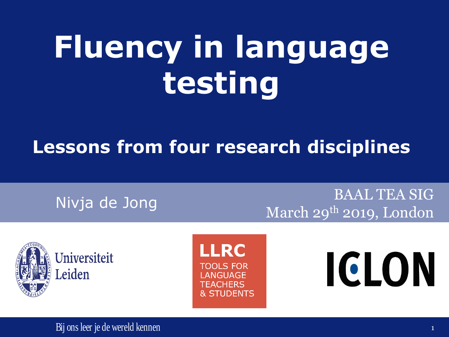## **Fluency in language testing**

#### **Lessons from four research disciplines**

Nivja de Jong BAAL TEA SIG March 29<sup>th</sup> 2019, London



**LRC TOOLS FOR LANGUAGE TEACHERS & STUDENTS** 

# ICLON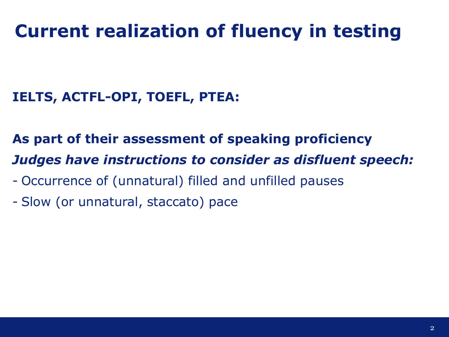### **Current realization of fluency in testing**

#### **IELTS, ACTFL-OPI, TOEFL, PTEA:**

**As part of their assessment of speaking proficiency** *Judges have instructions to consider as disfluent speech:*

- Occurrence of (unnatural) filled and unfilled pauses
- Slow (or unnatural, staccato) pace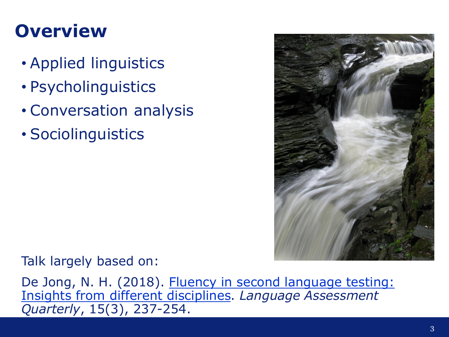### **Overview**

- Applied linguistics
- Psycholinguistics
- Conversation analysis
- Sociolinguistics



Talk largely based on:

De Jong, N. H. (2018). Fluency in second language testing: Insights from different disciplines. *Language Assessment Quarterly*, 15(3), 237-254.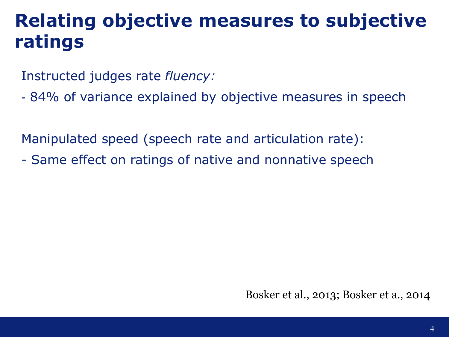### **Relating objective measures to subjective ratings**

Instructed judges rate *fluency:*

- 84% of variance explained by objective measures in speech

Manipulated speed (speech rate and articulation rate):

- Same effect on ratings of native and nonnative speech

Bosker et al., 2013; Bosker et a., 2014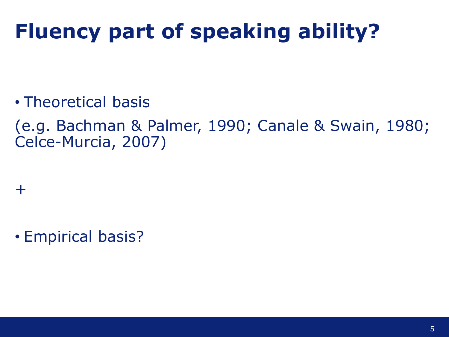### **Fluency part of speaking ability?**

• Theoretical basis

(e.g. Bachman & Palmer, 1990; Canale & Swain, 1980; Celce-Murcia, 2007)

+

• Empirical basis?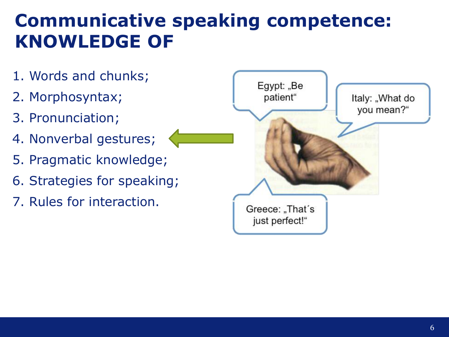### **Communicative speaking competence: KNOWLEDGE OF**

- 1. Words and chunks;
- 2. Morphosyntax;
- 3. Pronunciation;
- 4. Nonverbal gestures;
- 5. Pragmatic knowledge;
- 6. Strategies for speaking;
- 7. Rules for interaction.

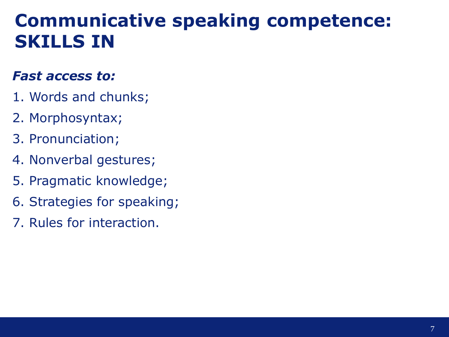#### **Communicative speaking competence: SKILLS IN**

#### *Fast access to:*

- 1. Words and chunks;
- 2. Morphosyntax;
- 3. Pronunciation;
- 4. Nonverbal gestures;
- 5. Pragmatic knowledge;
- 6. Strategies for speaking;
- 7. Rules for interaction.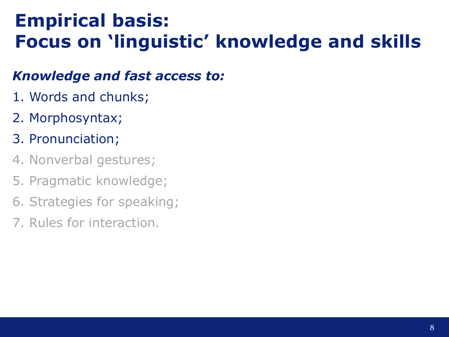### **Empirical basis: Focus on 'linguistic' knowledge and skills**

#### *Knowledge and fast access to:*

- 1. Words and chunks;
- 2. Morphosyntax;
- 3. Pronunciation;
- 4. Nonverbal gestures;
- 5. Pragmatic knowledge;
- 6. Strategies for speaking;
- 7. Rules for interaction.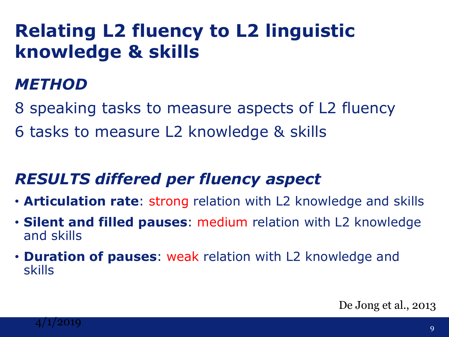### **Relating L2 fluency to L2 linguistic knowledge & skills**

#### *METHOD*

8 speaking tasks to measure aspects of L2 fluency

6 tasks to measure L2 knowledge & skills

#### *RESULTS differed per fluency aspect*

- **Articulation rate**: strong relation with L2 knowledge and skills
- **Silent and filled pauses**: medium relation with L2 knowledge and skills
- **Duration of pauses**: weak relation with L2 knowledge and skills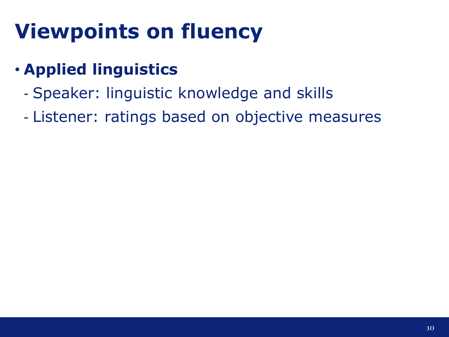### **Viewpoints on fluency**

#### • **Applied linguistics**

- Speaker: linguistic knowledge and skills
- Listener: ratings based on objective measures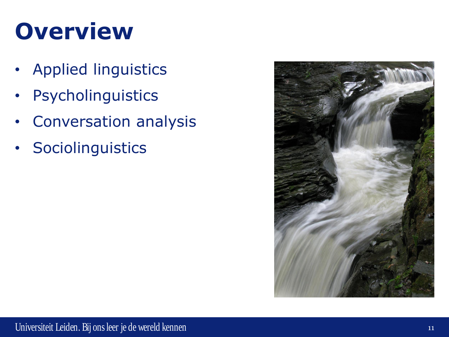## **Overview**

- Applied linguistics
- Psycholinguistics
- Conversation analysis
- Sociolinguistics

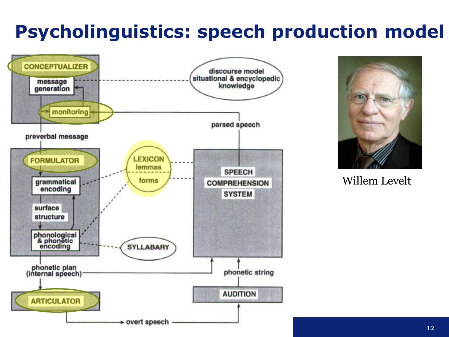### **Psycholinguistics: speech production model**





Willem Levelt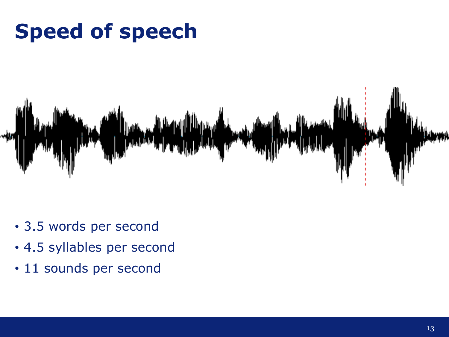### **Speed of speech**



- 3.5 words per second
- 4.5 syllables per second
- 11 sounds per second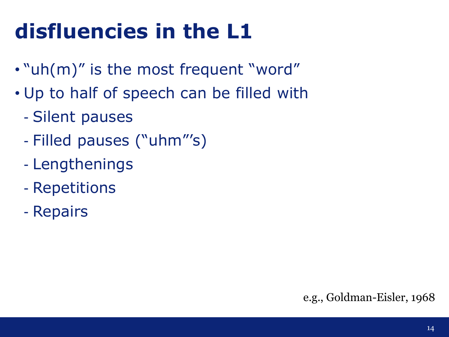### **disfluencies in the L1**

- "uh(m)" is the most frequent "word"
- Up to half of speech can be filled with
	- Silent pauses
	- Filled pauses ("uhm"'s)
	- Lengthenings
	- Repetitions
	- Repairs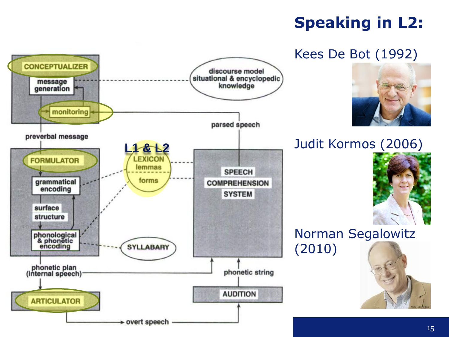#### **Speaking in L2:**

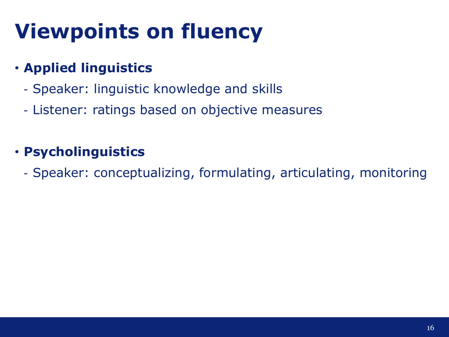### **Viewpoints on fluency**

#### • **Applied linguistics**

- Speaker: linguistic knowledge and skills
- Listener: ratings based on objective measures

#### • **Psycholinguistics**

- Speaker: conceptualizing, formulating, articulating, monitoring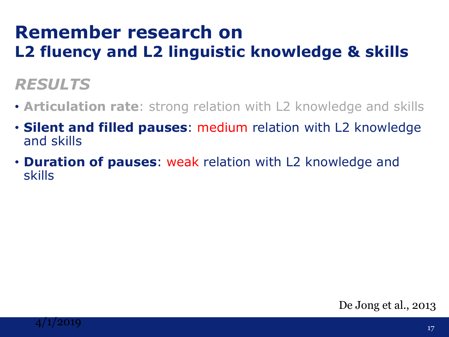#### **Remember research on L2 fluency and L2 linguistic knowledge & skills**

#### *RESULTS*

- **Articulation rate**: strong relation with L2 knowledge and skills
- **Silent and filled pauses**: medium relation with L2 knowledge and skills
- **Duration of pauses**: weak relation with L2 knowledge and skills

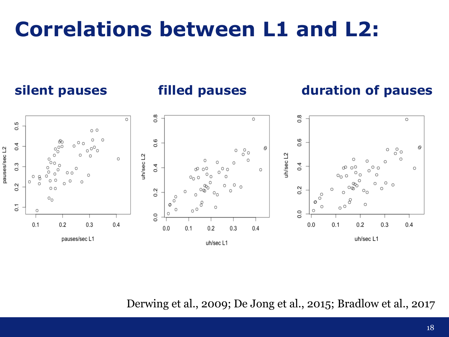### **Correlations between L1 and L2:**

#### **silent pauses filled pauses duration of pauses**



Derwing et al., 2009; De Jong et al., 2015; Bradlow et al., 2017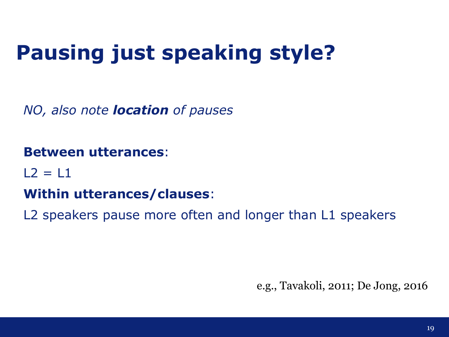### **Pausing just speaking style?**

*NO, also note location of pauses* 

#### **Between utterances**:

 $12 = 11$ 

#### **Within utterances/clauses**:

L2 speakers pause more often and longer than L1 speakers

e.g., Tavakoli, 2011; De Jong, 2016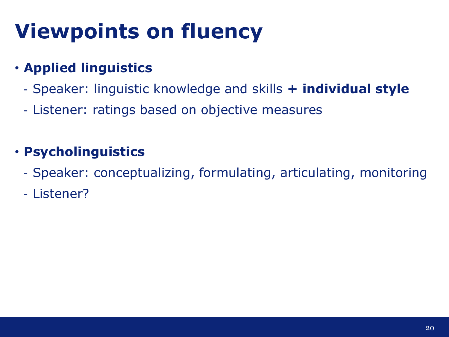### **Viewpoints on fluency**

#### • **Applied linguistics**

- Speaker: linguistic knowledge and skills **+ individual style**
- Listener: ratings based on objective measures

#### • **Psycholinguistics**

- Speaker: conceptualizing, formulating, articulating, monitoring
- Listener?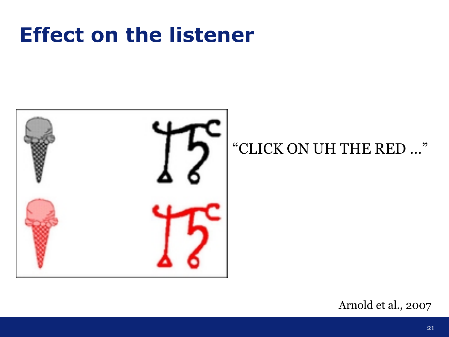### **Effect on the listener**



#### "CLICK ON UH THE RED …"

Arnold et al., 2007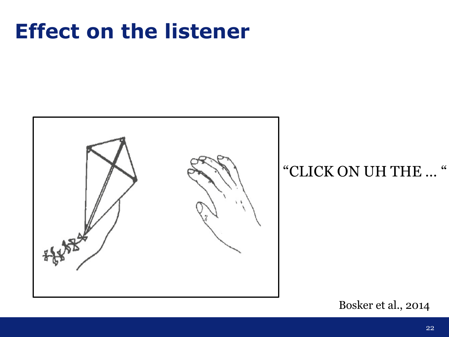### **Effect on the listener**



#### "CLICK ON UH THE … "

Bosker et al., 2014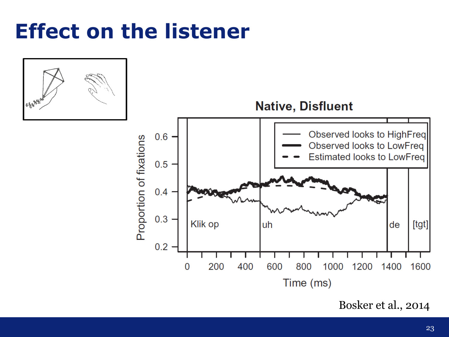### **Effect on the listener**



Bosker et al., 2014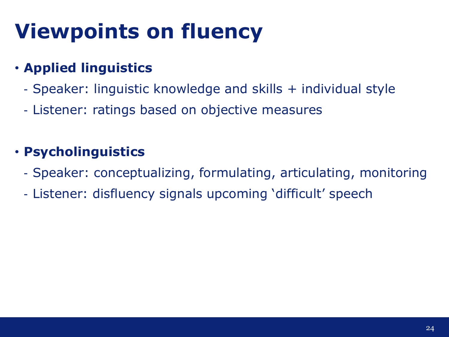### **Viewpoints on fluency**

#### • **Applied linguistics**

- Speaker: linguistic knowledge and skills + individual style
- Listener: ratings based on objective measures

#### • **Psycholinguistics**

- Speaker: conceptualizing, formulating, articulating, monitoring
- Listener: disfluency signals upcoming 'difficult' speech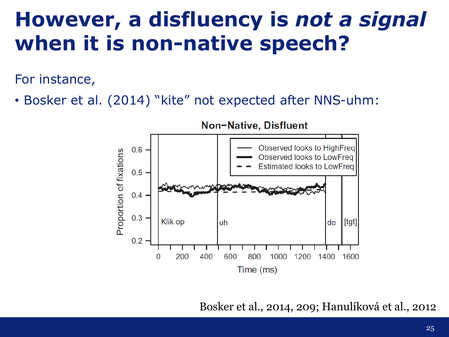### **However, a disfluency is** *not a signal* **when it is non-native speech?**

For instance,

• Bosker et al. (2014) "kite" not expected after NNS-uhm:



Bosker et al., 2014, 209; Hanulíková et al., 2012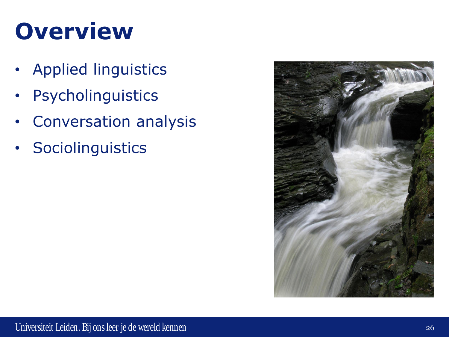## **Overview**

- Applied linguistics
- Psycholinguistics
- Conversation analysis
- Sociolinguistics

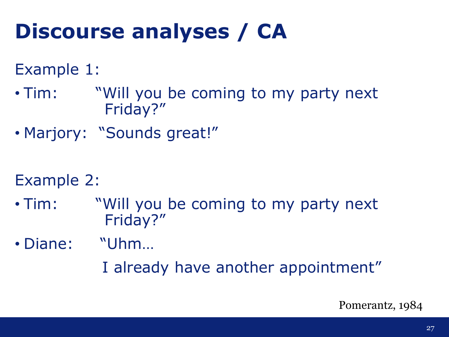### **Discourse analyses / CA**

#### Example 1:

- Tim: "Will you be coming to my party next Friday?"
- Marjory: "Sounds great!"

#### Example 2:

- Tim: "Will you be coming to my party next Friday?"
- Diane: "Uhm…
	- I already have another appointment"

Pomerantz, 1984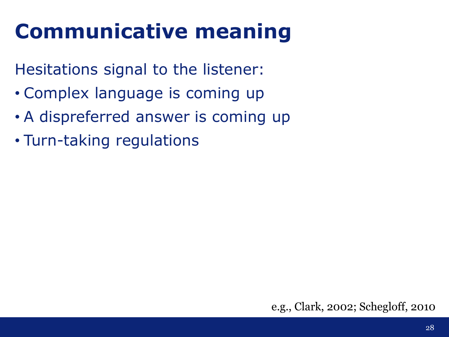### **Communicative meaning**

Hesitations signal to the listener:

- Complex language is coming up
- A dispreferred answer is coming up
- Turn-taking regulations

e.g., Clark, 2002; Schegloff, 2010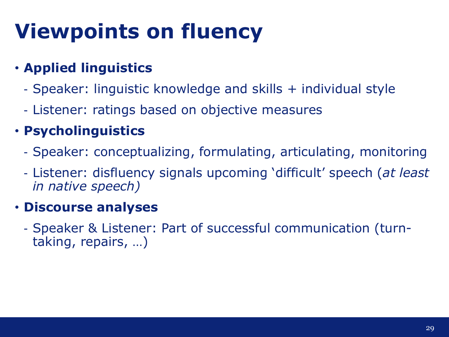### **Viewpoints on fluency**

#### • **Applied linguistics**

- Speaker: linguistic knowledge and skills + individual style
- Listener: ratings based on objective measures

#### • **Psycholinguistics**

- Speaker: conceptualizing, formulating, articulating, monitoring
- Listener: disfluency signals upcoming 'difficult' speech (*at least in native speech)*

#### • **Discourse analyses**

- Speaker & Listener: Part of successful communication (turntaking, repairs, …)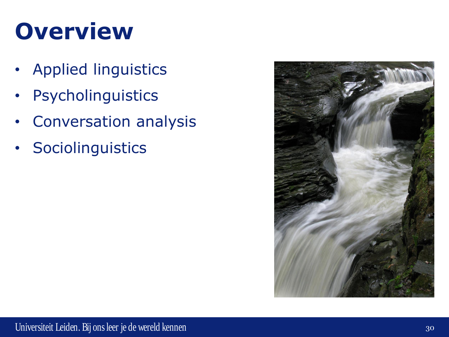## **Overview**

- Applied linguistics
- Psycholinguistics
- Conversation analysis
- Sociolinguistics

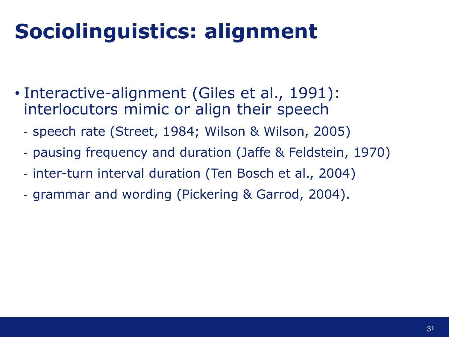### **Sociolinguistics: alignment**

- Interactive-alignment (Giles et al., 1991): interlocutors mimic or align their speech
	- speech rate (Street, 1984; Wilson & Wilson, 2005)
	- pausing frequency and duration (Jaffe & Feldstein, 1970)
	- inter-turn interval duration (Ten Bosch et al., 2004)
	- grammar and wording (Pickering & Garrod, 2004).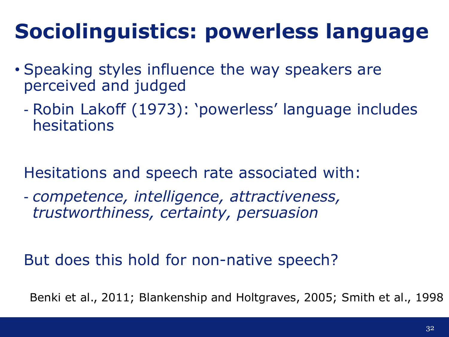### **Sociolinguistics: powerless language**

- Speaking styles influence the way speakers are perceived and judged
	- Robin Lakoff (1973): 'powerless' language includes hesitations

Hesitations and speech rate associated with:

- *competence, intelligence, attractiveness, trustworthiness, certainty, persuasion*

But does this hold for non-native speech?

Benki et al., 2011; Blankenship and Holtgraves, 2005; Smith et al., 1998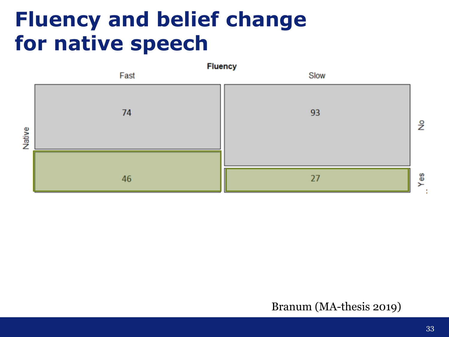### **Fluency and belief change for native speech**



Yes

#### Branum (MA-thesis 2019)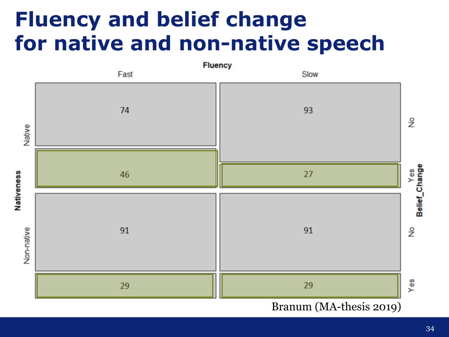### **Fluency and belief change for native and non-native speech**



34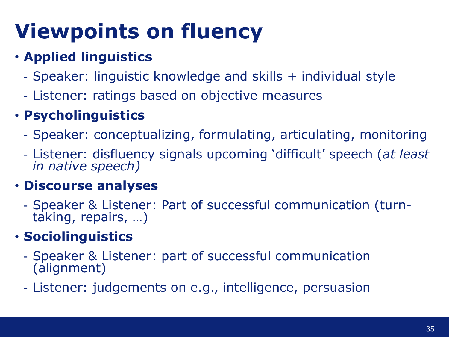### **Viewpoints on fluency**

#### • **Applied linguistics**

- Speaker: linguistic knowledge and skills + individual style
- Listener: ratings based on objective measures

#### • **Psycholinguistics**

- Speaker: conceptualizing, formulating, articulating, monitoring
- Listener: disfluency signals upcoming 'difficult' speech (*at least in native speech)*

#### • **Discourse analyses**

- Speaker & Listener: Part of successful communication (turntaking, repairs, …)

#### • **Sociolinguistics**

- Speaker & Listener: part of successful communication (alignment)
- Listener: judgements on e.g., intelligence, persuasion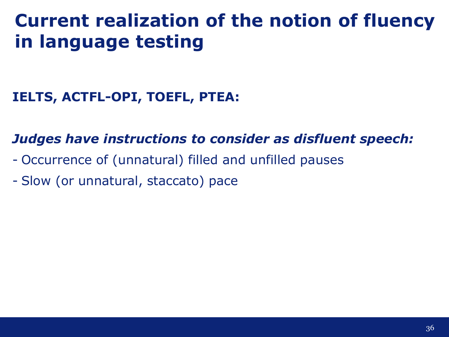### **Current realization of the notion of fluency in language testing**

#### **IELTS, ACTFL-OPI, TOEFL, PTEA:**

#### *Judges have instructions to consider as disfluent speech:*

- Occurrence of (unnatural) filled and unfilled pauses
- Slow (or unnatural, staccato) pace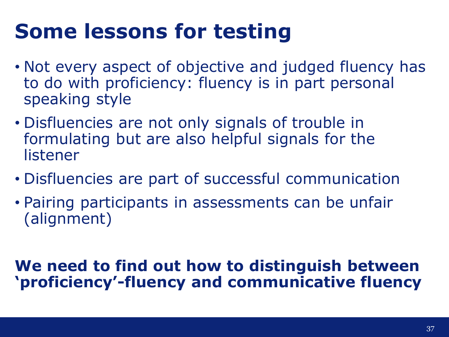### **Some lessons for testing**

- Not every aspect of objective and judged fluency has to do with proficiency: fluency is in part personal speaking style
- Disfluencies are not only signals of trouble in formulating but are also helpful signals for the listener
- Disfluencies are part of successful communication
- Pairing participants in assessments can be unfair (alignment)

#### **We need to find out how to distinguish between 'proficiency'-fluency and communicative fluency**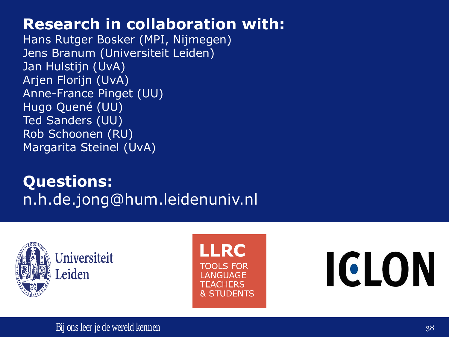#### **Research in collaboration with:**

Hans Rutger Bosker (MPI, Nijmegen) Jens Branum (Universiteit Leiden) Jan Hulstijn (UvA) Arjen Florijn (UvA) Anne-France Pinget (UU) Hugo Quené (UU) Ted Sanders (UU) Rob Schoonen (RU) Margarita Steinel (UvA)

#### **Questions:** n.h.de.jong@hum.leidenuniv.nl



**LRC TOOLS FOR ANGUAGE** TEACHERS **& STUDENTS** 

# ICLON